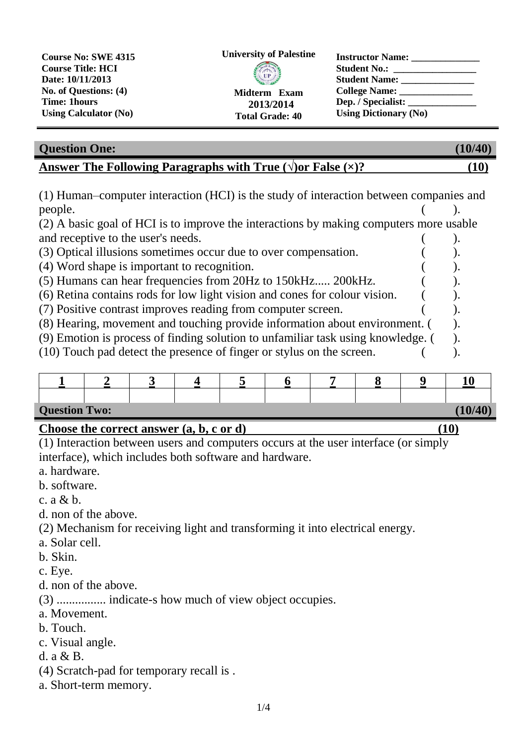

| <b>Question One:</b>                                                 | (10/40) |
|----------------------------------------------------------------------|---------|
| Answer The Following Paragraphs with True $(\sqrt{v})$ False $(x)$ ? | [10]    |

(1) Human–computer interaction (HCI) is the study of interaction between companies and people. ( ).

(2) A basic goal of HCI is to improve the interactions by making computers more usable and receptive to the user's needs. (a)

- (3) Optical illusions sometimes occur due to over compensation. (4)
- (4) Word shape is important to recognition. ( ).
- (5) Humans can hear frequencies from 20Hz to 150kHz..... 200kHz. ( ).
- (6) Retina contains rods for low light vision and cones for colour vision. ( ).
- (7) Positive contrast improves reading from computer screen. ( ).
- (8) Hearing, movement and touching provide information about environment. ( ).
- (9) Emotion is process of finding solution to unfamiliar task using knowledge. ( ).
- $(10)$  Touch pad detect the presence of finger or stylus on the screen.  $($

| <b>Question Two:</b> |  |  |  |  |  |  |  |  | (10/40) |
|----------------------|--|--|--|--|--|--|--|--|---------|

## **Choose the correct answer (a, b, c or d) (10)**

(1) Interaction between users and computers occurs at the user interface (or simply interface), which includes both software and hardware.

- a. hardware.
- b. software.
- c.  $a \& b$ .
- d. non of the above.

(2) Mechanism for receiving light and transforming it into electrical energy.

- a. Solar cell.
- b. Skin.
- c. Eye.
- d. non of the above.

(3) ................ indicate-s how much of view object occupies.

- a. Movement.
- b. Touch.
- c. Visual angle.
- d. a & B.
- (4) Scratch-pad for temporary recall is .
- a. Short-term memory.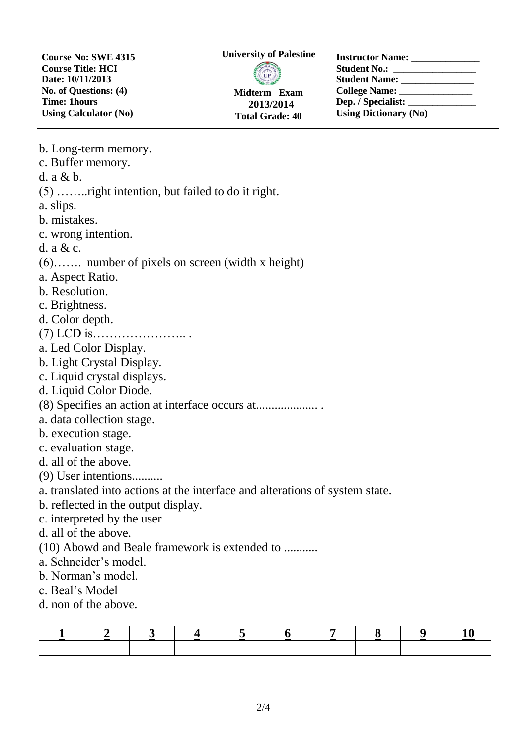**Course No: SWE 4315 Course Title: HCI Date: 10/11/2013 No. of Questions: (4) Time: 1hours Using Calculator (No)**

**University of Palestine**



**Total Grade: 40**

**Instructor Name: \_\_\_\_\_\_\_\_\_\_\_\_\_\_ Student No.: \_\_\_\_\_\_\_\_\_\_\_\_\_\_\_\_\_ Student Name: \_\_\_\_\_\_\_\_\_\_\_\_\_\_\_ College Name: \_\_\_\_\_\_\_\_\_\_\_\_\_\_\_** Dep. */ Specialist:* **Using Dictionary (No)**

| b. Long-term memory.                                                         |
|------------------------------------------------------------------------------|
| c. Buffer memory.                                                            |
| d. a & b.                                                                    |
| $(5)$ right intention, but failed to do it right.                            |
| a. slips.                                                                    |
| b. mistakes.                                                                 |
| c. wrong intention.                                                          |
| d. $a & c$ .                                                                 |
| $(6)$ number of pixels on screen (width x height)                            |
| a. Aspect Ratio.                                                             |
| b. Resolution.                                                               |
| c. Brightness.                                                               |
| d. Color depth.                                                              |
|                                                                              |
| a. Led Color Display.                                                        |
| b. Light Crystal Display.                                                    |
| c. Liquid crystal displays.                                                  |
| d. Liquid Color Diode.                                                       |
| (8) Specifies an action at interface occurs at                               |
| a. data collection stage.                                                    |
| b. execution stage.                                                          |
| c. evaluation stage.                                                         |
| d. all of the above.                                                         |
| $(9)$ User intentions                                                        |
| a. translated into actions at the interface and alterations of system state. |
| b. reflected in the output display.                                          |
| c. interpreted by the user                                                   |
| d. all of the above.                                                         |
| (10) Abowd and Beale framework is extended to                                |
| a. Schneider's model.                                                        |
| b. Norman's model.                                                           |
| c. Beal's Model                                                              |
| d. non of the above.                                                         |
|                                                                              |

|  |  | $\sqrt{5}$ |  |  |  |
|--|--|------------|--|--|--|
|  |  |            |  |  |  |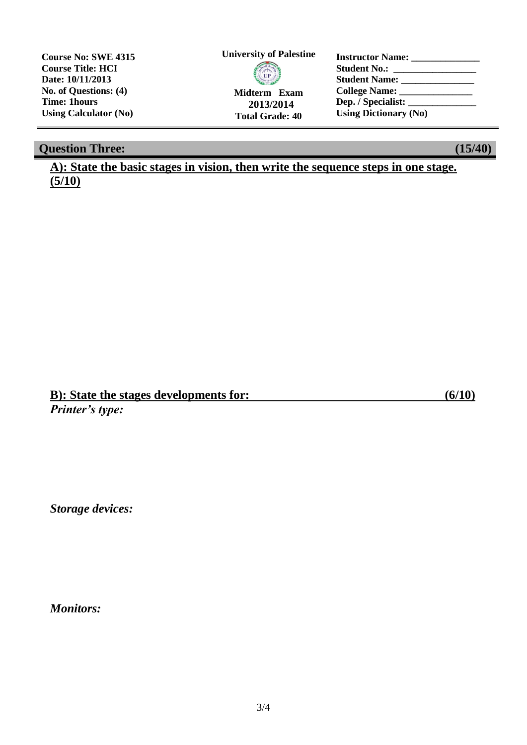**Course No: SWE 4315 Course Title: HCI Date: 10/11/2013 No. of Questions: (4) Time: 1hours Using Calculator (No)**

## **University of Palestine**

**Midterm Exam 2013/2014 Total Grade: 40**

**Instructor Name: \_\_\_\_\_\_\_\_\_\_\_\_\_\_ Student No.: \_\_\_\_\_\_\_\_\_\_\_\_\_\_\_\_\_ Student Name: \_\_\_\_\_\_\_\_\_\_\_\_\_\_\_ College Name: \_\_\_\_\_\_\_\_\_\_\_\_\_\_\_ Dep. / Specialist: \_\_\_\_\_\_\_\_\_\_\_\_\_\_ Using Dictionary (No)**

## **Question Three: (15/40)**

**A): State the basic stages in vision, then write the sequence steps in one stage. (5/10)**

**B): State the stages developments for: (6/10)** *Printer's type:*

*Storage devices:*

*Monitors:*